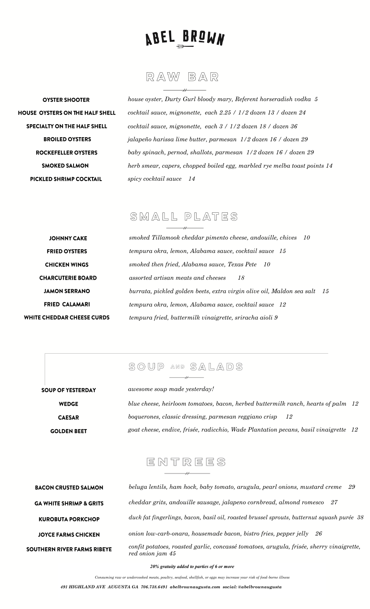

RAW BAR

**OYSTER SHOOTER** HOUSE OYSTERS ON THE HALF SHELL **SPECIALTY ON THE HALF SHELL BROILED OYSTERS ROCKEFELLER OYSTERS SMOKED SALMON** PICKLED SHRIMP COCKTAIL

*house oyster, Durty Gurl bloody mary, Referent horseradish vodka 5 cocktail sauce, mignonette, each 2.25 / 1/2 dozen 13 / dozen 24 cocktail sauce, mignonette, each 3 / 1/2 dozen 18 / dozen 36 jalapeño harissa lime butter, parmesan 1/2 dozen 16 / dozen 29 baby spinach, pernod, shallots, parmesan 1/2 dozen 16 / dozen 29 herb smear, capers, chopped boiled egg, marbled rye melba toast points 14 spicy cocktail sauce 14*

# SMALL PLATES

| JOHNNY CAKE                       | smok          |
|-----------------------------------|---------------|
| <b>FRIED OYSTERS</b>              | temp          |
| <b>CHICKEN WINGS</b>              | smok          |
| <b>CHARCUTERIE BOARD</b>          | $\alpha$ ssor |
| <b>JAMON SERRANO</b>              | burre         |
| <b>FRIED CALAMARI</b>             | temp          |
| <b>WHITE CHEDDAR CHEESE CURDS</b> | temp          |

sou

*smoked Tillamook cheddar pimento cheese, andouille, chives 10 tempura okra, lemon, Alabama sauce, cocktail sauce 15 smoked then fried, Alabama sauce, Texas Pete 10 assorted artisan meats and cheeses 18 burrata, pickled golden beets, extra virgin olive oil, Maldon sea salt 15 tempura okra, lemon, Alabama sauce, cocktail sauce 12 tempura fried, buttermilk vinaigrette, sriracha aioli 9*

## $\mathbb{S} \mathbb{O} \mathbb{U} \mathbb{P}$  and  $\mathbb{S} \mathbb{A} \mathbb{L} \mathbb{A} \mathbb{D} \mathbb{S}$

| UP OF YESTERDAY    | <i>awesome soup made vesterday!</i>                                                  |  |
|--------------------|--------------------------------------------------------------------------------------|--|
| <b>WEDGE</b>       | blue cheese, heirloom tomatoes, bacon, herbed buttermilk ranch, hearts of palm 12    |  |
| <b>CAESAR</b>      | boquerones, classic dressing, parmesan reggiano crisp<br>- 12                        |  |
| <b>GOLDEN BEET</b> | goat cheese, endive, frisée, radicchio, Wade Plantation pecans, basil vinaigrette 12 |  |
|                    |                                                                                      |  |

# ENTREES

| <b>BACON CRUSTED SALMON</b>        | beluga lentils, ham hock, baby tomato, arugula, pearl onions, mustard creme<br>29                            |
|------------------------------------|--------------------------------------------------------------------------------------------------------------|
| <b>GA WHITE SHRIMP &amp; GRITS</b> | cheddar grits, andouille sausage, jalapeno cornbread, almond romesco<br>-27                                  |
| <b>KUROBUTA PORKCHOP</b>           | duck fat fingerlings, bacon, basil oil, roasted brussel sprouts, butternut squash purée 38                   |
| <b>JOYCE FARMS CHICKEN</b>         | onion low-carb-onara, housemade bacon, bistro fries, pepper jelly<br>26                                      |
| SOUTHERN RIVER FARMS RIBEYE        | confit potatoes, roasted garlic, concassé tomatoes, arugula, frisée, sherry vinaigrette,<br>red onion jam 45 |

*20% gratuity added to parties of 6 or more*

*Consuming raw or undercooked meats, poultry, seafood, shellfish, or eggs may increase your risk of food-borne illness*

*491 HIGHLAND AVE AUGUSTA GA 706.738.6491 abelbrownaugusta.com social: @abelbrownaugusta*